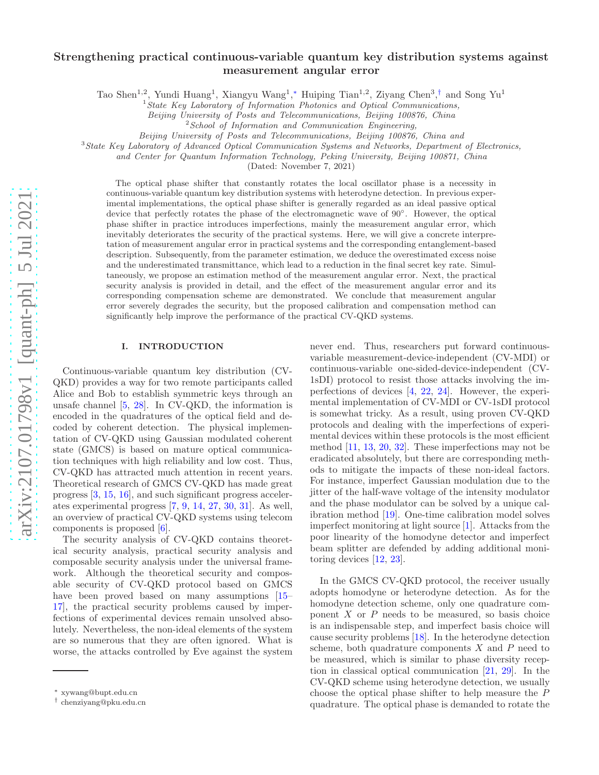# Strengthening practical continuous-variable quantum key distribution systems against measurement angular error

Tao Shen<sup>1,2</sup>, Yundi Huang<sup>1</sup>, Xiangyu Wang<sup>1</sup>,\* Huiping Tian<sup>1,2</sup>, Ziyang Chen<sup>3</sup>,<sup>[†](#page-0-1)</sup> and Song Yu<sup>1</sup>

 $1$ State Key Laboratory of Information Photonics and Optical Communications,

Beijing University of Posts and Telecommunications, Beijing 100876, China

 $2$  School of Information and Communication Engineering,

Beijing University of Posts and Telecommunications, Beijing 100876, China and

<sup>3</sup> State Key Laboratory of Advanced Optical Communication Systems and Networks, Department of Electronics,

and Center for Quantum Information Technology, Peking University, Beijing 100871, China

(Dated: November 7, 2021)

The optical phase shifter that constantly rotates the local oscillator phase is a necessity in continuous-variable quantum key distribution systems with heterodyne detection. In previous experimental implementations, the optical phase shifter is generally regarded as an ideal passive optical device that perfectly rotates the phase of the electromagnetic wave of 90°. However, the optical phase shifter in practice introduces imperfections, mainly the measurement angular error, which inevitably deteriorates the security of the practical systems. Here, we will give a concrete interpretation of measurement angular error in practical systems and the corresponding entanglement-based description. Subsequently, from the parameter estimation, we deduce the overestimated excess noise and the underestimated transmittance, which lead to a reduction in the final secret key rate. Simultaneously, we propose an estimation method of the measurement angular error. Next, the practical security analysis is provided in detail, and the effect of the measurement angular error and its corresponding compensation scheme are demonstrated. We conclude that measurement angular error severely degrades the security, but the proposed calibration and compensation method can significantly help improve the performance of the practical CV-QKD systems.

### I. INTRODUCTION

Continuous-variable quantum key distribution (CV-QKD) provides a way for two remote participants called Alice and Bob to establish symmetric keys through an unsafe channel [\[5](#page-6-0), [28\]](#page-7-0). In CV-QKD, the information is encoded in the quadratures of the optical field and decoded by coherent detection. The physical implementation of CV-QKD using Gaussian modulated coherent state (GMCS) is based on mature optical communication techniques with high reliability and low cost. Thus, CV-QKD has attracted much attention in recent years. Theoretical research of GMCS CV-QKD has made great progress [\[3](#page-6-1), [15,](#page-6-2) [16\]](#page-6-3), and such significant progress accelerates experimental progress [\[7](#page-6-4), [9](#page-6-5), [14](#page-6-6), [27](#page-7-1), [30](#page-7-2), [31\]](#page-7-3). As well, an overview of practical CV-QKD systems using telecom components is proposed [\[6](#page-6-7)].

The security analysis of CV-QKD contains theoretical security analysis, practical security analysis and composable security analysis under the universal framework. Although the theoretical security and composable security of CV-QKD protocol based on GMCS have been proved based on many assumptions  $15$ – [17\]](#page-6-8), the practical security problems caused by imperfections of experimental devices remain unsolved absolutely. Nevertheless, the non-ideal elements of the system are so numerous that they are often ignored. What is worse, the attacks controlled by Eve against the system

never end. Thus, researchers put forward continuousvariable measurement-device-independent (CV-MDI) or continuous-variable one-sided-device-independent (CV-1sDI) protocol to resist those attacks involving the imperfections of devices [\[4](#page-6-9), [22,](#page-7-4) [24](#page-7-5)]. However, the experimental implementation of CV-MDI or CV-1sDI protocol is somewhat tricky. As a result, using proven CV-QKD protocols and dealing with the imperfections of experimental devices within these protocols is the most efficient method [\[11,](#page-6-10) [13,](#page-6-11) [20,](#page-7-6) [32](#page-7-7)]. These imperfections may not be eradicated absolutely, but there are corresponding methods to mitigate the impacts of these non-ideal factors. For instance, imperfect Gaussian modulation due to the jitter of the half-wave voltage of the intensity modulator and the phase modulator can be solved by a unique calibration method [\[19\]](#page-7-8). One-time calibration model solves imperfect monitoring at light source [\[1\]](#page-6-12). Attacks from the poor linearity of the homodyne detector and imperfect beam splitter are defended by adding additional monitoring devices [\[12](#page-6-13), [23](#page-7-9)].

In the GMCS CV-QKD protocol, the receiver usually adopts homodyne or heterodyne detection. As for the homodyne detection scheme, only one quadrature component  $X$  or  $P$  needs to be measured, so basis choice is an indispensable step, and imperfect basis choice will cause security problems [\[18\]](#page-6-14). In the heterodyne detection scheme, both quadrature components  $X$  and  $P$  need to be measured, which is similar to phase diversity reception in classical optical communication [\[21](#page-7-10), [29\]](#page-7-11). In the CV-QKD scheme using heterodyne detection, we usually choose the optical phase shifter to help measure the P quadrature. The optical phase is demanded to rotate the

<span id="page-0-0"></span><sup>∗</sup> xywang@bupt.edu.cn

<span id="page-0-1"></span><sup>†</sup> chenziyang@pku.edu.cn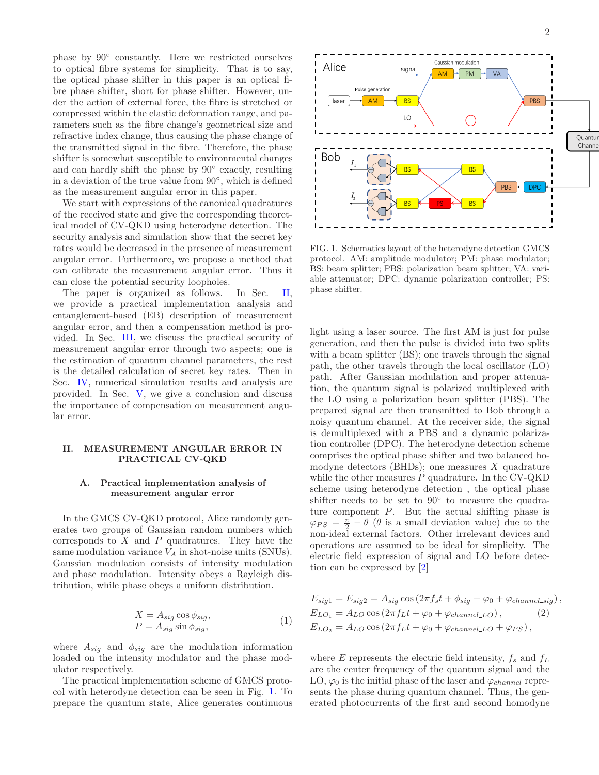phase by 90◦ constantly. Here we restricted ourselves to optical fibre systems for simplicity. That is to say, the optical phase shifter in this paper is an optical fibre phase shifter, short for phase shifter. However, under the action of external force, the fibre is stretched or compressed within the elastic deformation range, and parameters such as the fibre change's geometrical size and refractive index change, thus causing the phase change of the transmitted signal in the fibre. Therefore, the phase shifter is somewhat susceptible to environmental changes and can hardly shift the phase by 90◦ exactly, resulting in a deviation of the true value from 90◦ , which is defined as the measurement angular error in this paper.

We start with expressions of the canonical quadratures of the received state and give the corresponding theoretical model of CV-QKD using heterodyne detection. The security analysis and simulation show that the secret key rates would be decreased in the presence of measurement angular error. Furthermore, we propose a method that can calibrate the measurement angular error. Thus it can close the potential security loopholes.

The paper is organized as follows. In Sec. [II,](#page-1-0) we provide a practical implementation analysis and entanglement-based (EB) description of measurement angular error, and then a compensation method is provided. In Sec. [III,](#page-3-0) we discuss the practical security of measurement angular error through two aspects; one is the estimation of quantum channel parameters, the rest is the detailed calculation of secret key rates. Then in Sec. [IV,](#page-4-0) numerical simulation results and analysis are provided. In Sec. [V,](#page-5-0) we give a conclusion and discuss the importance of compensation on measurement angular error.

### <span id="page-1-0"></span>II. MEASUREMENT ANGULAR ERROR IN PRACTICAL CV-QKD

### <span id="page-1-3"></span>A. Practical implementation analysis of measurement angular error

In the GMCS CV-QKD protocol, Alice randomly generates two groups of Gaussian random numbers which corresponds to  $X$  and  $P$  quadratures. They have the same modulation variance  $V_A$  in shot-noise units (SNUs). Gaussian modulation consists of intensity modulation and phase modulation. Intensity obeys a Rayleigh distribution, while phase obeys a uniform distribution.

<span id="page-1-2"></span>
$$
X = A_{sig} \cos \phi_{sig},
$$
  
\n
$$
P = A_{sig} \sin \phi_{sig},
$$
\n(1)

where  $A_{sig}$  and  $\phi_{sig}$  are the modulation information loaded on the intensity modulator and the phase modulator respectively.

The practical implementation scheme of GMCS protocol with heterodyne detection can be seen in Fig. [1.](#page-1-1) To prepare the quantum state, Alice generates continuous



<span id="page-1-1"></span>FIG. 1. Schematics layout of the heterodyne detection GMCS protocol. AM: amplitude modulator; PM: phase modulator; BS: beam splitter; PBS: polarization beam splitter; VA: variable attenuator; DPC: dynamic polarization controller; PS: phase shifter.

light using a laser source. The first AM is just for pulse generation, and then the pulse is divided into two splits with a beam splitter (BS); one travels through the signal path, the other travels through the local oscillator (LO) path. After Gaussian modulation and proper attenuation, the quantum signal is polarized multiplexed with the LO using a polarization beam splitter (PBS). The prepared signal are then transmitted to Bob through a noisy quantum channel. At the receiver side, the signal is demultiplexed with a PBS and a dynamic polarization controller (DPC). The heterodyne detection scheme comprises the optical phase shifter and two balanced homodyne detectors (BHDs); one measures  $X$  quadrature while the other measures  $P$  quadrature. In the CV-QKD scheme using heterodyne detection , the optical phase shifter needs to be set to 90<sup>°</sup> to measure the quadrature component  $P$ . But the actual shifting phase is  $\varphi_{PS} = \frac{\pi}{2} - \theta$  ( $\theta$  is a small deviation value) due to the non-ideal external factors. Other irrelevant devices and operations are assumed to be ideal for simplicity. The electric field expression of signal and LO before detection can be expressed by [\[2\]](#page-6-15)

$$
E_{sig1} = E_{sig2} = A_{sig} \cos (2\pi f_s t + \phi_{sig} + \varphi_0 + \varphi_{channel\_sig}),
$$
  
\n
$$
E_{LO_1} = A_{LO} \cos (2\pi f_L t + \varphi_0 + \varphi_{channel\_LO}),
$$
\n
$$
E_{LO_2} = A_{LO} \cos (2\pi f_L t + \varphi_0 + \varphi_{channel\_LO} + \varphi_{PS}),
$$
\n
$$
(2)
$$

where E represents the electric field intensity,  $f_s$  and  $f_L$ are the center frequency of the quantum signal and the LO,  $\varphi_0$  is the initial phase of the laser and  $\varphi_{channel}$  represents the phase during quantum channel. Thus, the generated photocurrents of the first and second homodyne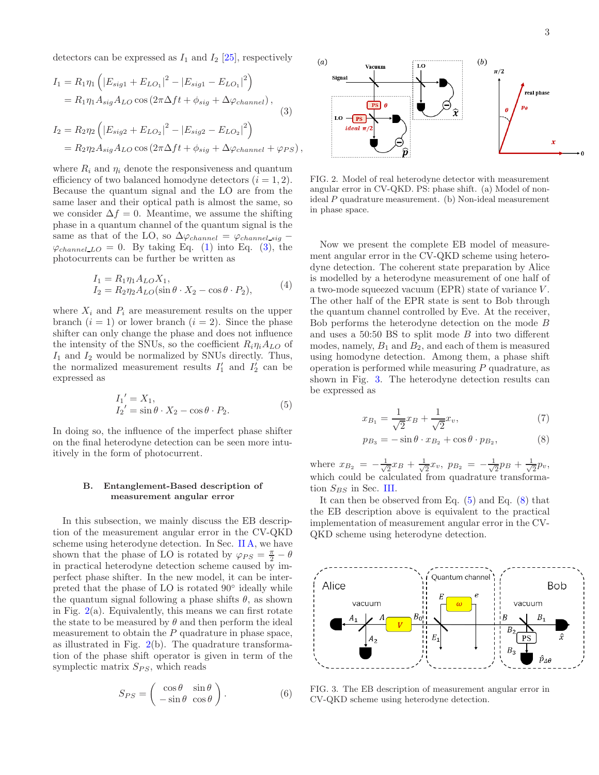detectors can be expressed as  $I_1$  and  $I_2$  [\[25\]](#page-7-12), respectively

$$
I_{1} = R_{1}\eta_{1} \left( |E_{sig1} + E_{LO_{1}}|^{2} - |E_{sig1} - E_{LO_{1}}|^{2} \right)
$$
  
=  $R_{1}\eta_{1}A_{sig}A_{LO}\cos(2\pi\Delta ft + \phi_{sig} + \Delta\varphi_{channel}),$   

$$
I_{2} = R_{2}\eta_{2} \left( |E_{sig2} + E_{LO_{2}}|^{2} - |E_{sig2} - E_{LO_{2}}|^{2} \right)
$$
  
=  $R_{2}\eta_{2}A_{sig}A_{LO}\cos(2\pi\Delta ft + \phi_{sig} + \Delta\varphi_{channel} + \varphi_{PS}),$ 

where  $R_i$  and  $\eta_i$  denote the responsiveness and quantum efficiency of two balanced homodyne detectors  $(i = 1, 2)$ . Because the quantum signal and the LO are from the same laser and their optical path is almost the same, so we consider  $\Delta f = 0$ . Meantime, we assume the shifting phase in a quantum channel of the quantum signal is the same as that of the LO, so  $\Delta\varphi_{channel} = \varphi_{channel\_sig}$  –  $\varphi_{channel\_LO} = 0$ . By taking Eq. [\(1\)](#page-1-2) into Eq. [\(3\)](#page-2-0), the photocurrents can be further be written as

$$
I_1 = R_1 \eta_1 A_{LO} X_1,
$$
  
\n
$$
I_2 = R_2 \eta_2 A_{LO} (\sin \theta \cdot X_2 - \cos \theta \cdot P_2),
$$
\n(4)

where  $X_i$  and  $P_i$  are measurement results on the upper branch  $(i = 1)$  or lower branch  $(i = 2)$ . Since the phase shifter can only change the phase and does not influence the intensity of the SNUs, so the coefficient  $R_i \eta_i A_{LO}$  of  $I_1$  and  $I_2$  would be normalized by SNUs directly. Thus, the normalized measurement results  $I'_1$  and  $I'_2$  can be expressed as

<span id="page-2-3"></span>
$$
I_1' = X_1,
$$
  
\n
$$
I_2' = \sin \theta \cdot X_2 - \cos \theta \cdot P_2.
$$
\n(5)

In doing so, the influence of the imperfect phase shifter on the final heterodyne detection can be seen more intuitively in the form of photocurrent.

### <span id="page-2-5"></span>B. Entanglement-Based description of measurement angular error

In this subsection, we mainly discuss the EB description of the measurement angular error in the CV-QKD scheme using heterodyne detection. In Sec. [II A,](#page-1-3) we have shown that the phase of LO is rotated by  $\varphi_{PS} = \frac{\pi}{2} - \theta$ in practical heterodyne detection scheme caused by imperfect phase shifter. In the new model, it can be interpreted that the phase of LO is rotated 90◦ ideally while the quantum signal following a phase shifts  $\theta$ , as shown in Fig.  $2(a)$  $2(a)$ . Equivalently, this means we can first rotate the state to be measured by  $\theta$  and then perform the ideal measurement to obtain the  $P$  quadrature in phase space, as illustrated in Fig.  $2(b)$  $2(b)$ . The quadrature transformation of the phase shift operator is given in term of the symplectic matrix  $S_{PS}$ , which reads

$$
S_{PS} = \begin{pmatrix} \cos \theta & \sin \theta \\ -\sin \theta & \cos \theta \end{pmatrix}.
$$
 (6)

<span id="page-2-0"></span>

<span id="page-2-1"></span>FIG. 2. Model of real heterodyne detector with measurement angular error in CV-QKD. PS: phase shift. (a) Model of nonideal P quadrature measurement. (b) Non-ideal measurement in phase space.

Now we present the complete EB model of measurement angular error in the CV-QKD scheme using heterodyne detection. The coherent state preparation by Alice is modelled by a heterodyne measurement of one half of a two-mode squeezed vacuum (EPR) state of variance V . The other half of the EPR state is sent to Bob through the quantum channel controlled by Eve. At the receiver, Bob performs the heterodyne detection on the mode B and uses a  $50:50$  BS to split mode  $B$  into two different modes, namely,  $B_1$  and  $B_2$ , and each of them is measured using homodyne detection. Among them, a phase shift operation is performed while measuring P quadrature, as shown in Fig. [3.](#page-2-2) The heterodyne detection results can be expressed as

<span id="page-2-6"></span><span id="page-2-4"></span>
$$
x_{B_1} = \frac{1}{\sqrt{2}} x_B + \frac{1}{\sqrt{2}} x_v,
$$
\n(7)

$$
p_{B_3} = -\sin\theta \cdot x_{B_2} + \cos\theta \cdot p_{B_2},\tag{8}
$$

where  $x_{B_2} = -\frac{1}{\sqrt{2}}$  $\frac{1}{2}x_B + \frac{1}{\sqrt{2}}$  $\frac{1}{2}x_v, \; p_{B_2} \; = \; -\frac{1}{\sqrt{2}}$  $\frac{1}{2}p_B + \frac{1}{\sqrt{2}}$  $\frac{1}{2}p_v,$ which could be calculated from quadrature transformation  $S_{BS}$  in Sec. [III.](#page-3-0)

It can then be observed from Eq.  $(5)$  and Eq.  $(8)$  that the EB description above is equivalent to the practical implementation of measurement angular error in the CV-QKD scheme using heterodyne detection.



<span id="page-2-2"></span>FIG. 3. The EB description of measurement angular error in CV-QKD scheme using heterodyne detection.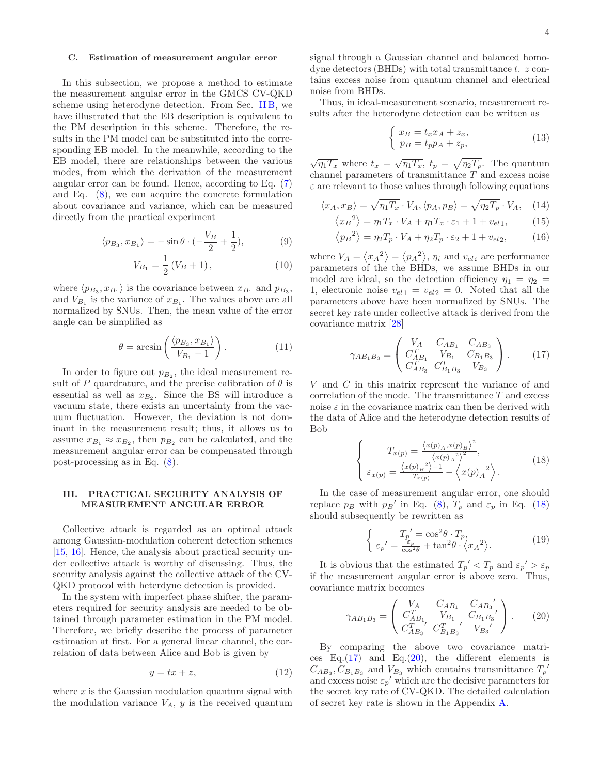#### C. Estimation of measurement angular error

In this subsection, we propose a method to estimate the measurement angular error in the GMCS CV-QKD scheme using heterodyne detection. From Sec. [II B,](#page-2-5) we have illustrated that the EB description is equivalent to the PM description in this scheme. Therefore, the results in the PM model can be substituted into the corresponding EB model. In the meanwhile, according to the EB model, there are relationships between the various modes, from which the derivation of the measurement angular error can be found. Hence, according to Eq. [\(7\)](#page-2-6) and Eq. [\(8\)](#page-2-4), we can acquire the concrete formulation about covariance and variance, which can be measured directly from the practical experiment

$$
\langle p_{B_3}, x_{B_1} \rangle = -\sin \theta \cdot \left(-\frac{V_B}{2} + \frac{1}{2}\right),\tag{9}
$$

$$
V_{B_1} = \frac{1}{2} (V_B + 1), \tag{10}
$$

where  $\langle p_{B_3}, x_{B_1} \rangle$  is the covariance between  $x_{B_1}$  and  $p_{B_3}$ , and  $V_{B_1}$  is the variance of  $x_{B_1}$ . The values above are all normalized by SNUs. Then, the mean value of the error angle can be simplified as

$$
\theta = \arcsin\left(\frac{\langle p_{B_3}, x_{B_1} \rangle}{V_{B_1} - 1}\right). \tag{11}
$$

In order to figure out  $p_{B_2}$ , the ideal measurement result of P quardrature, and the precise calibration of  $\theta$  is essential as well as  $x_{B_2}$ . Since the BS will introduce a vacuum state, there exists an uncertainty from the vacuum fluctuation. However, the deviation is not dominant in the measurement result; thus, it allows us to assume  $x_{B_1} \approx x_{B_2}$ , then  $p_{B_2}$  can be calculated, and the measurement angular error can be compensated through post-processing as in Eq. [\(8\)](#page-2-4).

## <span id="page-3-0"></span>III. PRACTICAL SECURITY ANALYSIS OF MEASUREMENT ANGULAR ERROR

Collective attack is regarded as an optimal attack among Gaussian-modulation coherent detection schemes [\[15,](#page-6-2) [16\]](#page-6-3). Hence, the analysis about practical security under collective attack is worthy of discussing. Thus, the security analysis against the collective attack of the CV-QKD protocol with heterdyne detection is provided.

In the system with imperfect phase shifter, the parameters required for security analysis are needed to be obtained through parameter estimation in the PM model. Therefore, we briefly describe the process of parameter estimation at first. For a general linear channel, the correlation of data between Alice and Bob is given by

$$
y = tx + z,\tag{12}
$$

where  $x$  is the Gaussian modulation quantum signal with the modulation variance  $V_A$ , y is the received quantum signal through a Gaussian channel and balanced homodyne detectors (BHDs) with total transmittance  $t$ .  $z$  contains excess noise from quantum channel and electrical noise from BHDs.

Thus, in ideal-measurement scenario, measurement results after the heterodyne detection can be written as

$$
\begin{cases}\nx_B = t_x x_A + z_x, \\
p_B = t_p p_A + z_p,\n\end{cases}
$$
\n(13)

 $\sqrt{\eta_1 T_x}$  where  $t_x = \sqrt{\eta_1 T_x}$ ,  $t_p = \sqrt{\eta_2 T_p}$ . The quantum channel parameters of transmittance T and excess noise  $\varepsilon$  are relevant to those values through following equations

$$
\langle x_A, x_B \rangle = \sqrt{\eta_1 T_x} \cdot V_A, \langle p_A, p_B \rangle = \sqrt{\eta_2 T_p} \cdot V_A, \quad (14)
$$

$$
\left\langle x_B^2 \right\rangle = \eta_1 T_x \cdot V_A + \eta_1 T_x \cdot \varepsilon_1 + 1 + v_{el1},\tag{15}
$$

$$
\langle p_B^2 \rangle = \eta_2 T_p \cdot V_A + \eta_2 T_p \cdot \varepsilon_2 + 1 + v_{el2}, \tag{16}
$$

where  $V_A = \langle x_A^2 \rangle = \langle p_A^2 \rangle$ ,  $\eta_i$  and  $v_{eli}$  are performance parameters of the the BHDs, we assume BHDs in our model are ideal, so the detection efficiency  $\eta_1 = \eta_2 =$ 1, electronic noise  $v_{el1} = v_{el2} = 0$ . Noted that all the parameters above have been normalized by SNUs. The secret key rate under collective attack is derived from the covariance matrix [\[28](#page-7-0)]

<span id="page-3-2"></span>
$$
\gamma_{AB_1B_3} = \begin{pmatrix} V_A & C_{AB_1} & C_{AB_3} \\ C_{AB_1}^T & V_{B_1} & C_{B_1B_3} \\ C_{AB_3}^T & C_{B_1B_3}^T & V_{B_3} \end{pmatrix} . \tag{17}
$$

V and C in this matrix represent the variance of and correlation of the mode. The transmittance  $T$  and excess noise  $\varepsilon$  in the covariance matrix can then be derived with the data of Alice and the heterodyne detection results of Bob

<span id="page-3-1"></span>
$$
\begin{cases}\nT_{x(p)} = \frac{\langle x(p)_A, x(p)_B \rangle^2}{\langle x(p)_A \rangle^2}, \\
\varepsilon_{x(p)} = \frac{\langle x(p)_B \rangle - 1}{T_{x(p)}} - \langle x(p)_A \rangle.\n\end{cases} (18)
$$

In the case of measurement angular error, one should replace  $p_B$  with  $p_B'$  in Eq. [\(8\)](#page-2-4),  $T_p$  and  $\varepsilon_p$  in Eq. [\(18\)](#page-3-1) should subsequently be rewritten as

$$
\begin{cases}\nT_p' = \cos^2 \theta \cdot T_p, \\
\varepsilon_p' = \frac{\varepsilon_p}{\cos^2 \theta} + \tan^2 \theta \cdot \langle x_A^2 \rangle.\n\end{cases} \tag{19}
$$

It is obvious that the estimated  $T_p' < T_p$  and  $\varepsilon_p' > \varepsilon_p$ if the measurement angular error is above zero. Thus, covariance matrix becomes

<span id="page-3-3"></span>
$$
\gamma_{AB_1B_3} = \begin{pmatrix} V_A & C_{AB_1} & C_{AB_3'} \\ C_{AB_1}^T & V_{B_1} & C_{B_1B_3'} \\ C_{AB_3}^T & C_{B_1B_3}^T & V_{B_3} \end{pmatrix} . \tag{20}
$$

By comparing the above two covariance matrices Eq. $(17)$  and Eq. $(20)$ , the different elements is  $C_{AB_3}, C_{B_1B_3}$  and  $V_{B_3}$  which contains transmittance  $T_p'$ and excess noise  $\varepsilon_p'$  which are the decisive parameters for the secret key rate of CV-QKD. The detailed calculation of secret key rate is shown in the Appendix [A.](#page-5-1)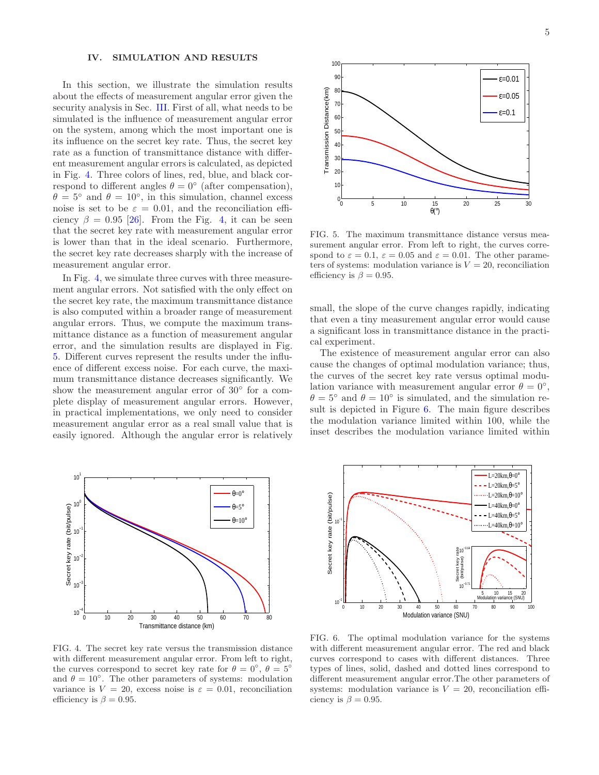### <span id="page-4-0"></span>IV. SIMULATION AND RESULTS

In this section, we illustrate the simulation results about the effects of measurement angular error given the security analysis in Sec. [III.](#page-3-0) First of all, what needs to be simulated is the influence of measurement angular error on the system, among which the most important one is its influence on the secret key rate. Thus, the secret key rate as a function of transmittance distance with different measurement angular errors is calculated, as depicted in Fig. [4.](#page-4-1) Three colors of lines, red, blue, and black correspond to different angles  $\theta = 0^{\circ}$  (after compensation),  $\theta = 5^{\circ}$  and  $\theta = 10^{\circ}$ , in this simulation, channel excess noise is set to be  $\varepsilon = 0.01$ , and the reconciliation efficiency  $\beta = 0.95$  [\[26](#page-7-13)]. From the Fig. [4,](#page-4-1) it can be seen that the secret key rate with measurement angular error is lower than that in the ideal scenario. Furthermore, the secret key rate decreases sharply with the increase of measurement angular error.

In Fig. [4,](#page-4-1) we simulate three curves with three measurement angular errors. Not satisfied with the only effect on the secret key rate, the maximum transmittance distance is also computed within a broader range of measurement angular errors. Thus, we compute the maximum transmittance distance as a function of measurement angular error, and the simulation results are displayed in Fig. [5.](#page-4-2) Different curves represent the results under the influence of different excess noise. For each curve, the maximum transmittance distance decreases significantly. We show the measurement angular error of 30◦ for a complete display of measurement angular errors. However, in practical implementations, we only need to consider measurement angular error as a real small value that is easily ignored. Although the angular error is relatively



<span id="page-4-1"></span>FIG. 4. The secret key rate versus the transmission distance with different measurement angular error. From left to right, the curves correspond to secret key rate for  $\theta = 0^{\circ}$ ,  $\theta = 5^{\circ}$ and  $\theta = 10^{\circ}$ . The other parameters of systems: modulation variance is  $V = 20$ , excess noise is  $\varepsilon = 0.01$ , reconciliation efficiency is  $\beta = 0.95$ .



<span id="page-4-2"></span>FIG. 5. The maximum transmittance distance versus measurement angular error. From left to right, the curves correspond to  $\varepsilon = 0.1$ ,  $\varepsilon = 0.05$  and  $\varepsilon = 0.01$ . The other parameters of systems: modulation variance is  $V = 20$ , reconciliation efficiency is  $\beta = 0.95$ .

small, the slope of the curve changes rapidly, indicating that even a tiny measurement angular error would cause a significant loss in transmittance distance in the practical experiment.

The existence of measurement angular error can also cause the changes of optimal modulation variance; thus, the curves of the secret key rate versus optimal modulation variance with measurement angular error  $\theta = 0^{\circ}$ ,  $\theta = 5^{\circ}$  and  $\theta = 10^{\circ}$  is simulated, and the simulation result is depicted in Figure [6.](#page-4-3) The main figure describes the modulation variance limited within 100, while the inset describes the modulation variance limited within



<span id="page-4-3"></span>FIG. 6. The optimal modulation variance for the systems with different measurement angular error. The red and black curves correspond to cases with different distances. Three types of lines, solid, dashed and dotted lines correspond to different measurement angular error.The other parameters of systems: modulation variance is  $V = 20$ , reconciliation efficiency is  $\beta = 0.95$ .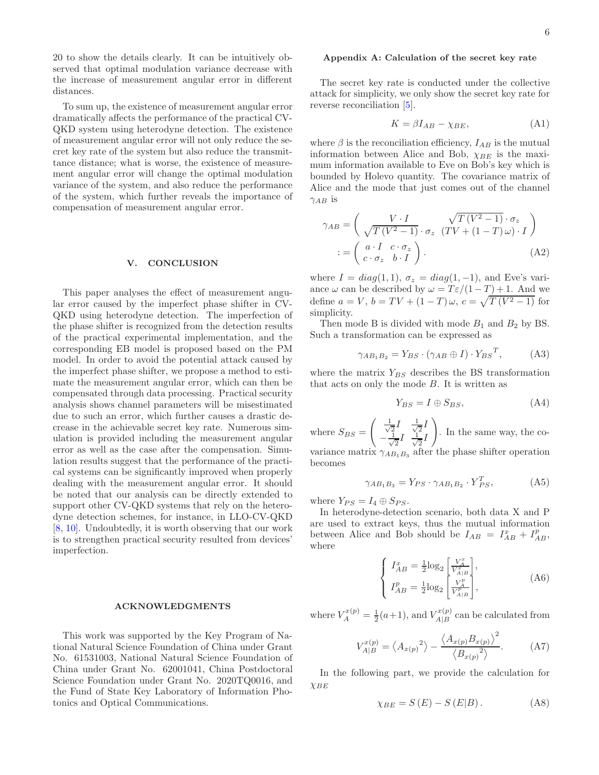20 to show the details clearly. It can be intuitively observed that optimal modulation variance decrease with the increase of measurement angular error in different distances.

To sum up, the existence of measurement angular error dramatically affects the performance of the practical CV-QKD system using heterodyne detection. The existence of measurement angular error will not only reduce the secret key rate of the system but also reduce the transmittance distance; what is worse, the existence of measurement angular error will change the optimal modulation variance of the system, and also reduce the performance of the system, which further reveals the importance of compensation of measurement angular error.

#### <span id="page-5-0"></span>V. CONCLUSION

This paper analyses the effect of measurement angular error caused by the imperfect phase shifter in CV-QKD using heterodyne detection. The imperfection of the phase shifter is recognized from the detection results of the practical experimental implementation, and the corresponding EB model is proposed based on the PM model. In order to avoid the potential attack caused by the imperfect phase shifter, we propose a method to estimate the measurement angular error, which can then be compensated through data processing. Practical security analysis shows channel parameters will be misestimated due to such an error, which further causes a drastic decrease in the achievable secret key rate. Numerous simulation is provided including the measurement angular error as well as the case after the compensation. Simulation results suggest that the performance of the practical systems can be significantly improved when properly dealing with the measurement angular error. It should be noted that our analysis can be directly extended to support other CV-QKD systems that rely on the heterodyne detection schemes, for instance, in LLO-CV-QKD [\[8,](#page-6-16) [10](#page-6-17)]. Undoubtedly, it is worth observing that our work is to strengthen practical security resulted from devices' imperfection.

#### ACKNOWLEDGMENTS

This work was supported by the Key Program of National Natural Science Foundation of China under Grant No. 61531003, National Natural Science Foundation of China under Grant No. 62001041, China Postdoctoral Science Foundation under Grant No. 2020TQ0016, and the Fund of State Key Laboratory of Information Photonics and Optical Communications.

### <span id="page-5-1"></span>Appendix A: Calculation of the secret key rate

The secret key rate is conducted under the collective attack for simplicity, we only show the secret key rate for reverse reconciliation [\[5\]](#page-6-0).

$$
K = \beta I_{AB} - \chi_{BE},\tag{A1}
$$

where  $\beta$  is the reconciliation efficiency,  $I_{AB}$  is the mutual information between Alice and Bob,  $\chi_{BE}$  is the maximum information available to Eve on Bob's key which is bounded by Holevo quantity. The covariance matrix of Alice and the mode that just comes out of the channel  $\gamma_{AB}$  is

$$
\gamma_{AB} = \begin{pmatrix} V \cdot I & \sqrt{T(V^2 - 1)} \cdot \sigma_z \\ \sqrt{T(V^2 - 1)} \cdot \sigma_z & (TV + (1 - T)\omega) \cdot I \end{pmatrix}
$$

$$
:= \begin{pmatrix} a \cdot I & c \cdot \sigma_z \\ c \cdot \sigma_z & b \cdot I \end{pmatrix}.
$$
(A2)

where  $I = diag(1, 1), \sigma_z = diag(1, -1),$  and Eve's variance  $\omega$  can be described by  $\omega = T \varepsilon/(1 - T) + 1$ . And we define  $a = V$ ,  $b = TV + (1 - T)\omega$ ,  $c = \sqrt{T(V^2 - 1)}$  for simplicity.

Then mode B is divided with mode  $B_1$  and  $B_2$  by BS. Such a transformation can be expressed as

$$
\gamma_{AB_1B_2} = Y_{BS} \cdot (\gamma_{AB} \oplus I) \cdot Y_{BS}^T,
$$
 (A3)

where the matrix  $Y_{BS}$  describes the BS transformation that acts on only the mode B. It is written as

$$
Y_{BS} = I \oplus S_{BS},\tag{A4}
$$

where  $S_{BS} =$  $\frac{1}{\sqrt{2}}$  $\frac{1}{2}I$   $\frac{1}{\sqrt{2}}$  $\bar{z}^I$  $-\frac{1}{\sqrt{2}}$  $\frac{1}{2}I$   $\frac{1}{\sqrt{2}}$  $\overline{2}^I$  $\setminus$ . In the same way, the co-

variance matrix  $\gamma_{AB_1B_3}$  after the phase shifter operation becomes

$$
\gamma_{AB_1B_3} = Y_{PS} \cdot \gamma_{AB_1B_2} \cdot Y_{PS}^T,
$$
 (A5)

where  $Y_{PS} = I_4 \oplus S_{PS}$ .

In heterodyne-detection scenario, both data X and P are used to extract keys, thus the mutual information between Alice and Bob should be  $I_{AB} = I_{AB}^x + I_{AB}^p$ , where

$$
\begin{cases}\nI_{AB}^{x} = \frac{1}{2} \log_2 \left[ \frac{V_A^x}{V_{A|B}^x} \right], \\
I_{AB}^{p} = \frac{1}{2} \log_2 \left[ \frac{V_A^p}{V_{A|B}^p} \right],\n\end{cases} \tag{A6}
$$

where  $V_A^{x(p)} = \frac{1}{2}(a+1)$ , and  $V_{A|B}^{x(p)}$  $\chi_{A|B}^{x(p)}$  can be calculated from

$$
V_{A|B}^{x(p)} = \langle A_{x(p)}^2 \rangle - \frac{\langle A_{x(p)} B_{x(p)} \rangle^2}{\langle B_{x(p)}^2 \rangle}.
$$
 (A7)

In the following part, we provide the calculation for  $XBE$ 

$$
\chi_{BE} = S(E) - S(E|B). \tag{A8}
$$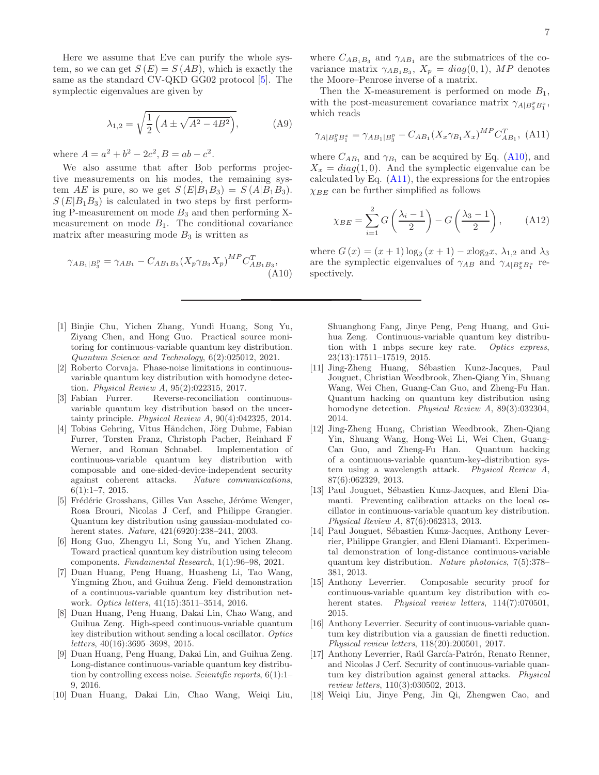Here we assume that Eve can purify the whole system, so we can get  $S(E) = S(AB)$ , which is exactly the same as the standard CV-QKD GG02 protocol [\[5](#page-6-0)]. The symplectic eigenvalues are given by

$$
\lambda_{1,2} = \sqrt{\frac{1}{2} \left( A \pm \sqrt{A^2 - 4B^2} \right)},
$$
 (A9)

where  $A = a^2 + b^2 - 2c^2$ ,  $B = ab - c^2$ .

We also assume that after Bob performs projective measurements on his modes, the remaining system AE is pure, so we get  $S(E|B_1B_3) = S(A|B_1B_3)$ .  $S(E|B_1B_3)$  is calculated in two steps by first performing P-measurement on mode  $B_3$  and then performing Xmeasurement on mode  $B_1$ . The conditional covariance matrix after measuring mode  $B_3$  is written as

<span id="page-6-18"></span>
$$
\gamma_{AB_1|B_3^p} = \gamma_{AB_1} - C_{AB_1B_3} (X_p \gamma_{B_3} X_p)^{MP} C_{AB_1B_3}^T,
$$
\n(A10)

- <span id="page-6-12"></span>[1] Binjie Chu, Yichen Zhang, Yundi Huang, Song Yu, Ziyang Chen, and Hong Guo. Practical source monitoring for continuous-variable quantum key distribution. Quantum Science and Technology, 6(2):025012, 2021.
- <span id="page-6-15"></span>[2] Roberto Corvaja. Phase-noise limitations in continuousvariable quantum key distribution with homodyne detection. *Physical Review A*,  $95(2):022315$ , 2017.<br>[3] Fabian Furrer. Reverse-reconciliation
- <span id="page-6-1"></span>Reverse-reconciliation continuousvariable quantum key distribution based on the uncertainty principle. Physical Review A, 90(4):042325, 2014.
- <span id="page-6-9"></span>[4] Tobias Gehring, Vitus Händchen, Jörg Duhme, Fabian Furrer, Torsten Franz, Christoph Pacher, Reinhard F Werner, and Roman Schnabel. Implementation of continuous-variable quantum key distribution with composable and one-sided-device-independent security against coherent attacks. Nature communications, 6(1):1–7, 2015.
- <span id="page-6-0"></span>[5] Frédéric Grosshans, Gilles Van Assche, Jérôme Wenger, Rosa Brouri, Nicolas J Cerf, and Philippe Grangier. Quantum key distribution using gaussian-modulated coherent states. Nature, 421(6920):238–241, 2003.
- <span id="page-6-7"></span>[6] Hong Guo, Zhengyu Li, Song Yu, and Yichen Zhang. Toward practical quantum key distribution using telecom components. Fundamental Research, 1(1):96–98, 2021.
- <span id="page-6-4"></span>[7] Duan Huang, Peng Huang, Huasheng Li, Tao Wang, Yingming Zhou, and Guihua Zeng. Field demonstration of a continuous-variable quantum key distribution network. Optics letters, 41(15):3511–3514, 2016.
- <span id="page-6-16"></span>[8] Duan Huang, Peng Huang, Dakai Lin, Chao Wang, and Guihua Zeng. High-speed continuous-variable quantum key distribution without sending a local oscillator. Optics letters, 40(16):3695–3698, 2015.
- <span id="page-6-5"></span>[9] Duan Huang, Peng Huang, Dakai Lin, and Guihua Zeng. Long-distance continuous-variable quantum key distribution by controlling excess noise. Scientific reports,  $6(1)$ :1– 9, 2016.
- <span id="page-6-17"></span>[10] Duan Huang, Dakai Lin, Chao Wang, Weiqi Liu,

where  $C_{AB_1B_3}$  and  $\gamma_{AB_1}$  are the submatrices of the covariance matrix  $\gamma_{AB_1B_3}$ ,  $X_p = diag(0, 1)$ , MP denotes the Moore–Penrose inverse of a matrix.

Then the X-measurement is performed on mode  $B_1$ , with the post-measurement covariance matrix  $\gamma_{A|B_3^p B_1^x}$ , which reads

<span id="page-6-19"></span>
$$
\gamma_{A|B_3^p B_1^x} = \gamma_{AB_1|B_3^p} - C_{AB_1}(X_x \gamma_{B_1} X_x)^{MP} C_{AB_1}^T, \text{ (A11)}
$$

where  $C_{AB_1}$  and  $\gamma_{B_1}$  can be acquired by Eq. [\(A10\)](#page-6-18), and  $X_x = diag(1,0)$ . And the symplectic eigenvalue can be calculated by Eq.  $(A11)$ , the expressions for the entropies  $\chi_{BE}$  can be further simplified as follows

$$
\chi_{BE} = \sum_{i=1}^{2} G\left(\frac{\lambda_i - 1}{2}\right) - G\left(\frac{\lambda_3 - 1}{2}\right), \quad \text{(A12)}
$$

where  $G(x) = (x+1) \log_2 (x+1) - x \log_2 x$ ,  $\lambda_{1,2}$  and  $\lambda_3$ are the symplectic eigenvalues of  $\gamma_{AB}$  and  $\gamma_{A|B_3^pB_1^x}$  respectively.

Shuanghong Fang, Jinye Peng, Peng Huang, and Guihua Zeng. Continuous-variable quantum key distribution with 1 mbps secure key rate. Optics express, 23(13):17511–17519, 2015.

- <span id="page-6-10"></span>[11] Jing-Zheng Huang, Sébastien Kunz-Jacques, Paul Jouguet, Christian Weedbrook, Zhen-Qiang Yin, Shuang Wang, Wei Chen, Guang-Can Guo, and Zheng-Fu Han. Quantum hacking on quantum key distribution using homodyne detection. Physical Review A, 89(3):032304, 2014.
- <span id="page-6-13"></span>[12] Jing-Zheng Huang, Christian Weedbrook, Zhen-Qiang Yin, Shuang Wang, Hong-Wei Li, Wei Chen, Guang-Can Guo, and Zheng-Fu Han. Quantum hacking of a continuous-variable quantum-key-distribution system using a wavelength attack. Physical Review A, 87(6):062329, 2013.
- <span id="page-6-11"></span>[13] Paul Jouguet, Sébastien Kunz-Jacques, and Eleni Diamanti. Preventing calibration attacks on the local oscillator in continuous-variable quantum key distribution. Physical Review A, 87(6):062313, 2013.
- <span id="page-6-6"></span>[14] Paul Jouguet, Sébastien Kunz-Jacques, Anthony Leverrier, Philippe Grangier, and Eleni Diamanti. Experimental demonstration of long-distance continuous-variable quantum key distribution. Nature photonics, 7(5):378– 381, 2013.
- <span id="page-6-2"></span>[15] Anthony Leverrier. Composable security proof for continuous-variable quantum key distribution with coherent states. *Physical review letters*,  $114(7):070501$ , 2015.
- <span id="page-6-3"></span>[16] Anthony Leverrier. Security of continuous-variable quantum key distribution via a gaussian de finetti reduction. Physical review letters, 118(20):200501, 2017.
- <span id="page-6-8"></span>[17] Anthony Leverrier, Raúl García-Patrón, Renato Renner, and Nicolas J Cerf. Security of continuous-variable quantum key distribution against general attacks. Physical review letters, 110(3):030502, 2013.
- <span id="page-6-14"></span>[18] Weiqi Liu, Jinye Peng, Jin Qi, Zhengwen Cao, and